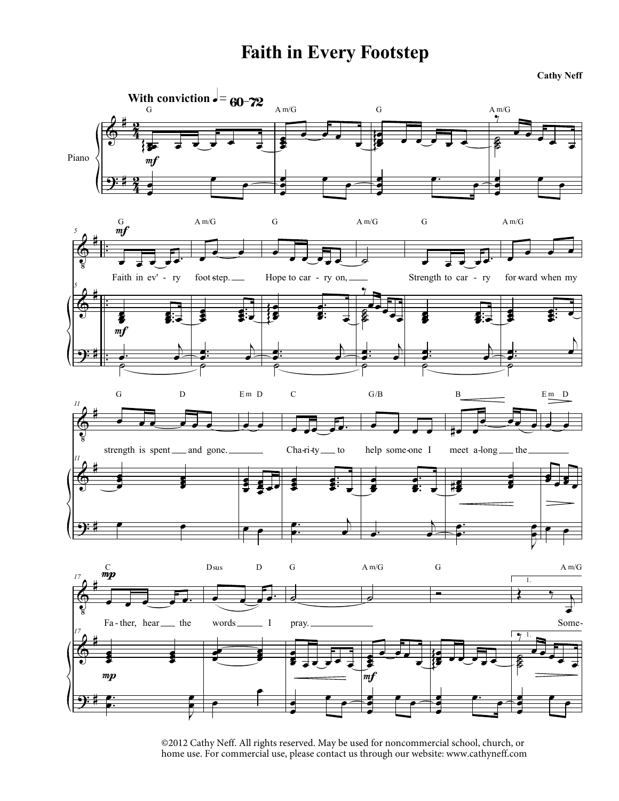## **Faith in Every Footstep**

**Cathy Neff**



<sup>©2012</sup> Cathy Neff. All rights reserved. May be used for noncommercial school, church, or home use. For commercial use, please contact us through our website: www.cathyneff.com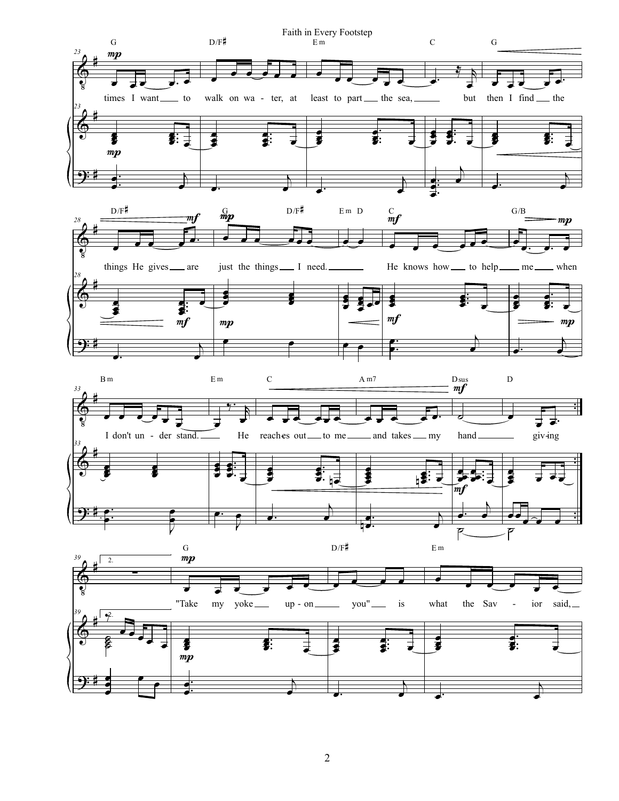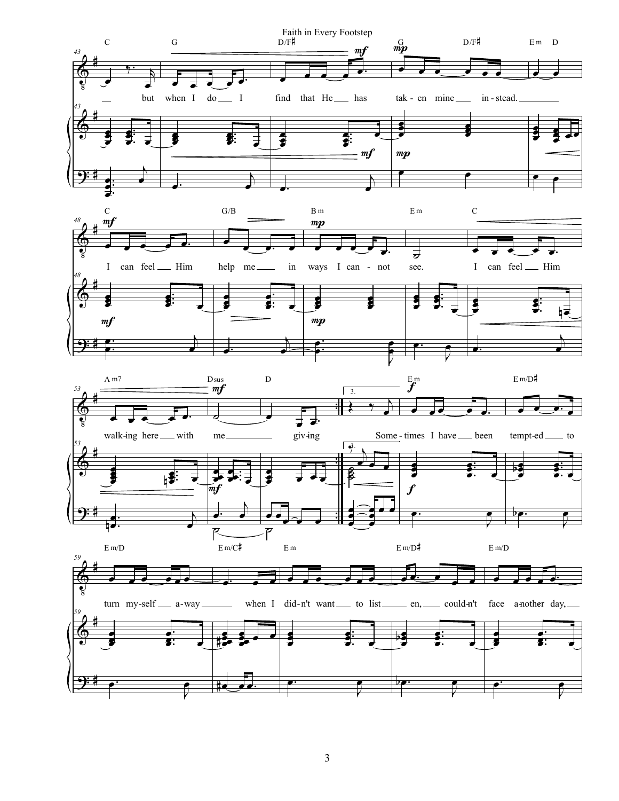